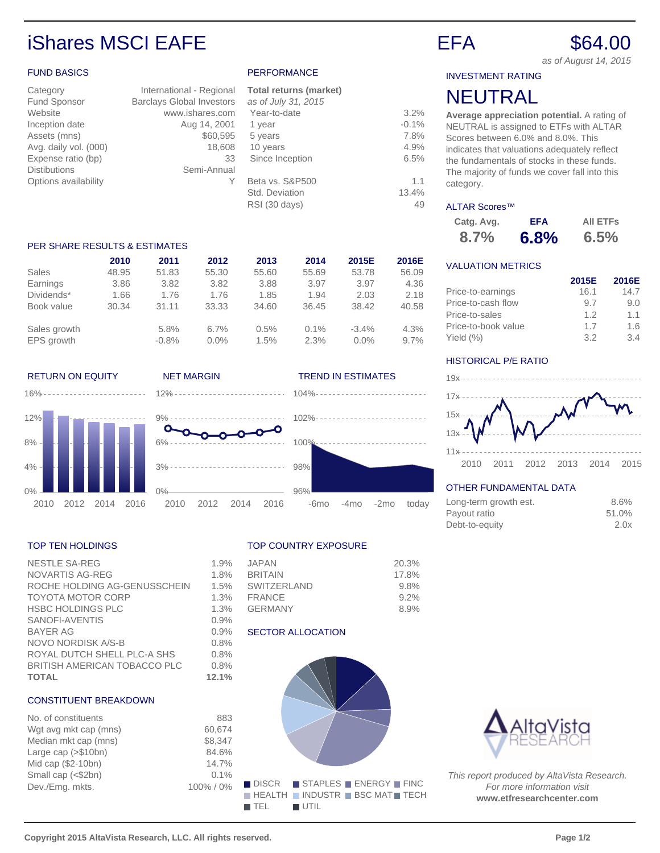# iShares MSCI EAFE Example 2008 EFA \$64.00

## FUND BASICS

| Category              | International - Regional         |
|-----------------------|----------------------------------|
| Fund Sponsor          | <b>Barclays Global Investors</b> |
| Website               | www.ishares.com                  |
| Inception date        | Aug 14, 2001                     |
| Assets (mns)          | \$60,595                         |
| Avg. daily vol. (000) | 18,608                           |
| Expense ratio (bp)    | 33                               |
| <b>Distibutions</b>   | Semi-Annual                      |
| Options availability  |                                  |
|                       |                                  |

### PERFORMANCE

| <b>Total returns (market)</b> |         |
|-------------------------------|---------|
| as of July 31, 2015           |         |
| Year-to-date                  | 3.2%    |
| 1 year                        | $-0.1%$ |
| 5 years                       | 7.8%    |
| 10 years                      | 4.9%    |
| Since Inception               | 6.5%    |
| Beta vs. S&P500               | 1.1     |
| Std. Deviation                | 13.4%   |
| RSI (30 days)                 | 49      |
|                               |         |

### PER SHARE RESULTS & ESTIMATES

|              | 2010  | 2011    | 2012    | 2013  | 2014    | 2015E   | 2016E   |
|--------------|-------|---------|---------|-------|---------|---------|---------|
| Sales        | 48.95 | 51.83   | 55.30   | 55.60 | 55.69   | 53.78   | 56.09   |
| Earnings     | 3.86  | 3.82    | 3.82    | 3.88  | 3.97    | 3.97    | 4.36    |
| Dividends*   | 1.66  | 1.76    | 1.76    | 1.85  | 1.94    | 2.03    | 2.18    |
| Book value   | 30.34 | 31.11   | 33.33   | 34.60 | 36.45   | 38.42   | 40.58   |
| Sales growth |       | 5.8%    | 6.7%    | 0.5%  | $0.1\%$ | $-3.4%$ | 4.3%    |
| EPS growth   |       | $-0.8%$ | $0.0\%$ | 1.5%  | 2.3%    | $0.0\%$ | $9.7\%$ |

### RETURN ON EQUITY NET MARGIN TREND IN ESTIMATES

16%





### TOP TEN HOLDINGS

| <b>NESTLE SA-REG</b>         | 1.9%  |
|------------------------------|-------|
| <b>NOVARTIS AG-REG</b>       | 1.8%  |
| ROCHE HOLDING AG-GENUSSCHEIN | 1.5%  |
| <b>TOYOTA MOTOR CORP</b>     | 1.3%  |
| <b>HSBC HOLDINGS PLC</b>     | 1.3%  |
| SANOFI-AVENTIS               | 0.9%  |
| <b>BAYER AG</b>              | 0.9%  |
| NOVO NORDISK A/S-B           | 0.8%  |
| ROYAL DUTCH SHELL PLC-A SHS  | 0.8%  |
| BRITISH AMERICAN TOBACCO PLC | 0.8%  |
| <b>TOTAL</b>                 | 12.1% |

# CONSTITUENT BREAKDOWN

| No. of constituents   | 883     |
|-----------------------|---------|
| Wgt avg mkt cap (mns) | 60.674  |
| Median mkt cap (mns)  | \$8.347 |
| Large cap (>\$10bn)   | 84.6%   |
| Mid cap (\$2-10bn)    | 14.7%   |
| Small cap (<\$2bn)    | 0.1%    |
| Dev./Emg. mkts.       | 100%/0% |
|                       |         |

### TOP COUNTRY EXPOSURE

102%

 $100<sup>o</sup>$ 

98%

96%

| <b>JAPAN</b>   | 20.3% |
|----------------|-------|
| <b>BRITAIN</b> | 17.8% |
| SWITZERI AND   | 9.8%  |
| FRANCE         | 9.2%  |
| GERMANY        | 8.9%  |
|                |       |

-6mo -4mo -2mo today

### SECTOR ALLOCATION



as of August 14, 2015

INVESTMENT RATING

# NEUTRAL

**Average appreciation potential.** A rating of NEUTRAL is assigned to ETFs with ALTAR Scores between 6.0% and 8.0%. This indicates that valuations adequately reflect the fundamentals of stocks in these funds. The majority of funds we cover fall into this category.

### ALTAR Scores™

| Catg. Avg. | <b>EFA</b> | <b>AII ETFS</b> |
|------------|------------|-----------------|
| 8.7%       | 6.8%       | 6.5%            |

# VALUATION METRICS

|                     | 2015E | 2016E |
|---------------------|-------|-------|
| Price-to-earnings   | 16.1  | 14.7  |
| Price-to-cash flow  | 9.7   | 9.0   |
| Price-to-sales      | 1.2   | 11    |
| Price-to-book value | 17    | 1.6   |
| Yield $(\%)$        | 3.2   | 3.4   |

### HISTORICAL P/E RATIO



# OTHER FUNDAMENTAL DATA

| Long-term growth est. | 8.6%  |
|-----------------------|-------|
| Payout ratio          | 51.0% |
| Debt-to-equity        | 2.0x  |



This report produced by AltaVista Research. For more information visit **www.etfresearchcenter.com**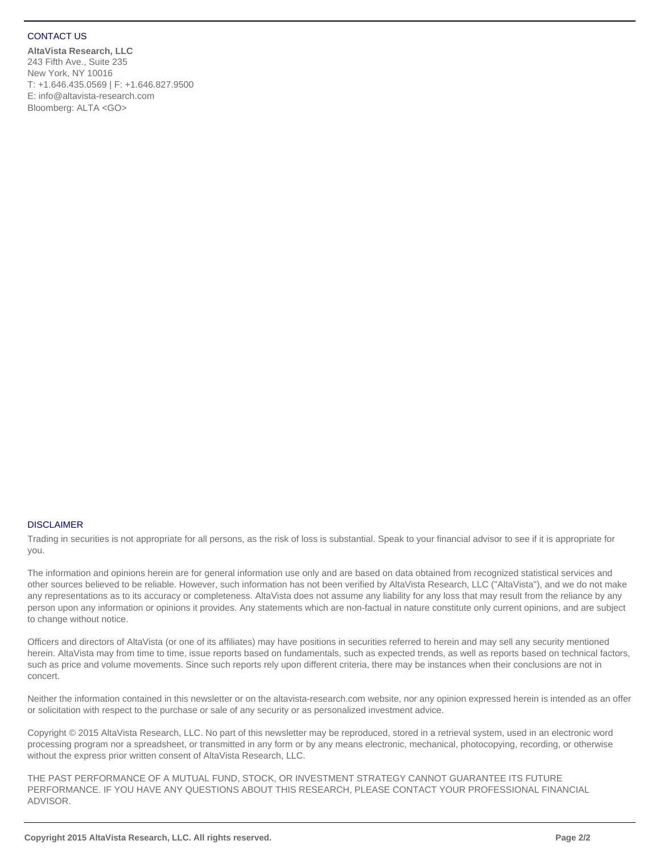### CONTACT US

**AltaVista Research, LLC** 243 Fifth Ave., Suite 235 New York, NY 10016 T: +1.646.435.0569 | F: +1.646.827.9500 E: info@altavista-research.com Bloomberg: ALTA <GO>

### DISCLAIMER

Trading in securities is not appropriate for all persons, as the risk of loss is substantial. Speak to your financial advisor to see if it is appropriate for you.

The information and opinions herein are for general information use only and are based on data obtained from recognized statistical services and other sources believed to be reliable. However, such information has not been verified by AltaVista Research, LLC ("AltaVista"), and we do not make any representations as to its accuracy or completeness. AltaVista does not assume any liability for any loss that may result from the reliance by any person upon any information or opinions it provides. Any statements which are non-factual in nature constitute only current opinions, and are subject to change without notice.

Officers and directors of AltaVista (or one of its affiliates) may have positions in securities referred to herein and may sell any security mentioned herein. AltaVista may from time to time, issue reports based on fundamentals, such as expected trends, as well as reports based on technical factors, such as price and volume movements. Since such reports rely upon different criteria, there may be instances when their conclusions are not in concert.

Neither the information contained in this newsletter or on the altavista-research.com website, nor any opinion expressed herein is intended as an offer or solicitation with respect to the purchase or sale of any security or as personalized investment advice.

Copyright © 2015 AltaVista Research, LLC. No part of this newsletter may be reproduced, stored in a retrieval system, used in an electronic word processing program nor a spreadsheet, or transmitted in any form or by any means electronic, mechanical, photocopying, recording, or otherwise without the express prior written consent of AltaVista Research, LLC.

THE PAST PERFORMANCE OF A MUTUAL FUND, STOCK, OR INVESTMENT STRATEGY CANNOT GUARANTEE ITS FUTURE PERFORMANCE. IF YOU HAVE ANY QUESTIONS ABOUT THIS RESEARCH, PLEASE CONTACT YOUR PROFESSIONAL FINANCIAL ADVISOR.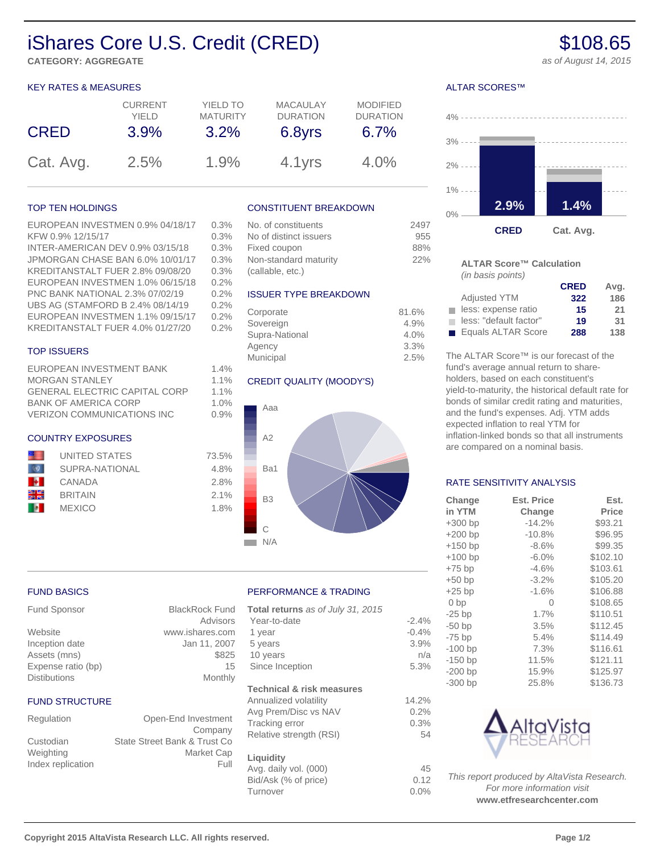# iShares Core U.S. Credit (CRED) \$108.65

**CATEGORY: AGGREGATE** and the control of a set August 14, 2015

### KEY RATES & MEASURES

| <b>CRED</b> | <b>CURRENT</b> | YIELD TO        | <b>MACAULAY</b> | <b>MODIFIED</b> |
|-------------|----------------|-----------------|-----------------|-----------------|
|             | YIFI D         | <b>MATURITY</b> | <b>DURATION</b> | <b>DURATION</b> |
|             | 3.9%           | 3.2%            | 6.8yrs          | 6.7%            |
| Cat. Avg.   | 2.5%           | 1.9%            | 4.1yrs          | 4.0%            |

### TOP TEN HOLDINGS

### EUROPEAN INVESTMEN 0.9% 04/18/17 0.3% KFW 0.9% 12/15/17 0.3% INTER-AMERICAN DEV 0.9% 03/15/18 0.3%

JPMORGAN CHASE BAN 6.0% 10/01/17 0.3% KREDITANSTALT FUER 2.8% 09/08/20 0.3% EUROPEAN INVESTMEN 1.0% 06/15/18 0.2% PNC BANK NATIONAL 2.3% 07/02/19 0.2% UBS AG (STAMFORD B 2.4% 08/14/19 0.2% EUROPEAN INVESTMEN 1.1% 09/15/17 0.2% KREDITANSTALT FUER 4.0% 01/27/20 0.2%

## TOP ISSUERS

FUND BASICS

FUND STRUCTURE

EUROPEAN INVESTMENT BANK 1.4% MORGAN STANLEY 1.1% GENERAL ELECTRIC CAPITAL CORP 1.1% BANK OF AMERICA CORP 1.0% VERIZON COMMUNICATIONS INC 0.9%

### COUNTRY EXPOSURES

|     | <b>UNITED STATES</b> |
|-----|----------------------|
|     | SUPRA-NATIONAL       |
| B÷. | CANADA               |
| 쬞쭓  | <b>BRITAIN</b>       |
|     | <b>MEXICO</b>        |
|     |                      |

Fund Sponsor BlackRock Fund

Website www.ishares.com Inception date Jan 11, 2007 Assets (mns) \$825 Expense ratio (bp) 15 Distibutions Monthly

Regulation Open-End Investment

Custodian State Street Bank & Trust Co Weighting Market Cap Index replication Full

### CONSTITUENT BREAKDOWN

| No. of constituents    | 2497 |
|------------------------|------|
| No of distinct issuers | 955  |
| Fixed coupon           | 88%  |
| Non-standard maturity  | 22%  |
| (callable, etc.)       |      |

### ISSUER TYPE BREAKDOWN

| Corporate      | 81.6% |
|----------------|-------|
| Sovereign      | 4.9%  |
| Supra-National | 4.0%  |
| Agency         | 3.3%  |
| Municipal      | 2.5%  |

## CREDIT QUALITY (MOODY'S)



### PERFORMANCE & TRADING

Advisors

Company

| Total returns as of July 31, 2015    |         |
|--------------------------------------|---------|
| Year-to-date                         | $-2.4%$ |
| 1 year                               | $-0.4%$ |
| 5 years                              | 3.9%    |
| 10 years                             | n/a     |
| Since Inception                      | 5.3%    |
| <b>Technical &amp; risk measures</b> |         |
| Annualized volatility                | 14.2%   |
| Avg Prem/Disc vs NAV                 | 0.2%    |
| Tracking error                       | 0.3%    |
| Relative strength (RSI)              | 54      |
| Liquidity                            |         |
| Avg. daily vol. (000)                | 45      |
| Bid/Ask (% of price)                 | 0.12    |
| Turnover                             | $0.0\%$ |
|                                      |         |

# ALTAR SCORES™



### **ALTAR Score™ Calculation** (in basis points)

|                        | <b>CRED</b> | Avg. |
|------------------------|-------------|------|
| <b>Adjusted YTM</b>    | 322         | 186  |
| less: expense ratio    | 15          | 21   |
| less: "default factor" | 19          | 31   |
| Equals ALTAR Score     | 288         | 138  |

The ALTAR Score™ is our forecast of the fund's average annual return to shareholders, based on each constituent's yield-to-maturity, the historical default rate for bonds of similar credit rating and maturities, and the fund's expenses. Adj. YTM adds expected inflation to real YTM for inflation-linked bonds so that all instruments are compared on a nominal basis.

### RATE SENSITIVITY ANALYSIS

| Change          | <b>Est. Price</b> | Est.         |
|-----------------|-------------------|--------------|
| in YTM          | Change            | <b>Price</b> |
| $+300$ bp       | $-14.2%$          | \$93.21      |
| $+200$ bp       | $-10.8%$          | \$96.95      |
| $+150$ bp       | $-8.6%$           | \$99.35      |
| $+100$ bp       | $-6.0%$           | \$102.10     |
| $+75$ bp        | $-4.6%$           | \$103.61     |
| $+50$ bp        | $-3.2%$           | \$105.20     |
| $+25$ bp        | $-1.6%$           | \$106.88     |
| 0 <sub>bp</sub> | Ω                 | \$108.65     |
| $-25$ bp        | 1.7%              | \$110.51     |
| $-50$ bp        | 3.5%              | \$112.45     |
| $-75$ bp        | 5.4%              | \$114.49     |
| $-100$ bp       | 7.3%              | \$116.61     |
| $-150$ bp       | 11.5%             | \$121.11     |
| $-200$ bp       | 15.9%             | \$125.97     |
| $-300$ bp       | 25.8%             | \$136.73     |



This report produced by AltaVista Research. For more information visit **www.etfresearchcenter.com**